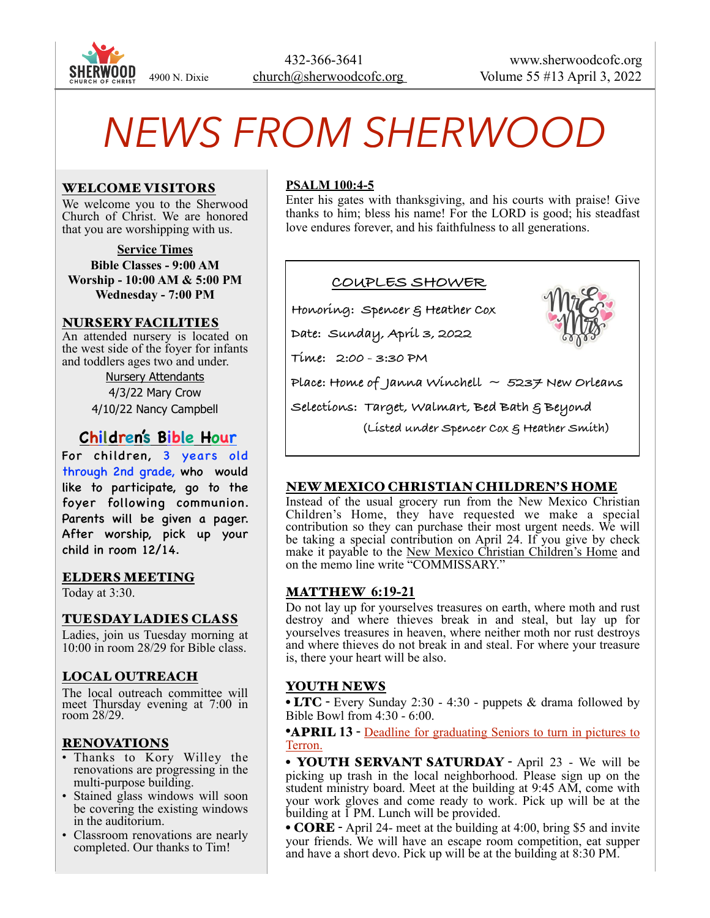

# *NEWS FROM SHERWOOD*

#### WELCOME VISITORS

We welcome you to the Sherwood Church of Christ. We are honored that you are worshipping with us.

**Service Times Bible Classes - 9:00 AM Worship - 10:00 AM & 5:00 PM Wednesday - 7:00 PM**

#### NURSERY FACILITIES

An attended nursery is located on the west side of the foyer for infants and toddlers ages two and under.

> Nursery Attendants 4/3/22 Mary Crow 4/10/22 Nancy Campbell

# **Children's Bible Hour**

For children, 3 years old through 2nd grade, who would like to participate, go to the foyer following communion. Parents will be given a pager. After worship, pick up your child in room 12/14.

#### ELDERS MEETING

Today at 3:30.

#### TUESDAY LADIES CLASS

Ladies, join us Tuesday morning at 10:00 in room 28/29 for Bible class.

#### LOCAL OUTREACH

The local outreach committee will meet Thursday evening at 7:00 in room 28/29.

#### RENOVATIONS

- Thanks to Kory Willey the renovations are progressing in the multi-purpose building.
- Stained glass windows will soon be covering the existing windows in the auditorium.
- Classroom renovations are nearly completed. Our thanks to Tim!

#### **PSALM 100:4-5**

Enter his gates with thanksgiving, and his courts with praise! Give thanks to him; bless his name! For the LORD is good; his steadfast love endures forever, and his faithfulness to all generations.



 **(Listed under Spencer Cox & Heather Smith)**

## NEW MEXICO CHRISTIAN CHILDREN'S HOME

Instead of the usual grocery run from the New Mexico Christian Children's Home, they have requested we make a special contribution so they can purchase their most urgent needs. We will be taking a special contribution on April 24. If you give by check make it payable to the New Mexico Christian Children's Home and on the memo line write "COMMISSARY."

#### MATTHEW **6:19-21**

Do not lay up for yourselves treasures on earth, where moth and rust destroy and where thieves break in and steal, but lay up for yourselves treasures in heaven, where neither moth nor rust destroys and where thieves do not break in and steal. For where your treasure is, there your heart will be also.

#### YOUTH NEWS

• LTC - Every Sunday 2:30 - 4:30 - puppets  $\&$  drama followed by Bible Bowl from 4:30 - 6:00.

•APRIL **13** - Deadline for graduating Seniors to turn in pictures to Terron.

• YOUTH SERVANT SATURDAY - April 23 - We will be picking up trash in the local neighborhood. Please sign up on the student ministry board. Meet at the building at 9:45 AM, come with your work gloves and come ready to work. Pick up will be at the building at  $\overline{1}$  PM. Lunch will be provided.

• **CORE** - April 24- meet at the building at 4:00, bring \$5 and invite your friends. We will have an escape room competition, eat supper and have a short devo. Pick up will be at the building at 8:30 PM.